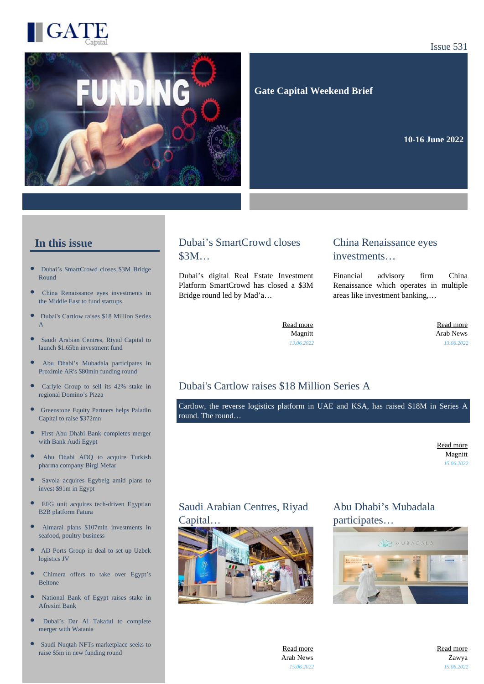

#### Issue 531



 **Gate Capital Weekend Brief**

**10-16 June 2022** 

#### **In this issue**

- $\overline{ }$ [Dubai's SmartCrowd closes \\$3M Bridge](https://gatecapital.net/back_office/newsletters/tracking/6032/673) [Round](https://gatecapital.net/back_office/newsletters/tracking/6032/673)
- [China Renaissance eyes investments in](https://gatecapital.net/back_office/newsletters/tracking/6033/673) [the Middle East to fund startups](https://gatecapital.net/back_office/newsletters/tracking/6033/673)
- $\bullet$ [Dubai's Cartlow raises \\$18 Million Series](https://gatecapital.net/back_office/newsletters/tracking/6042/673) [A](https://gatecapital.net/back_office/newsletters/tracking/6042/673)
- $\bullet$ [Saudi Arabian Centres, Riyad Capital to](https://gatecapital.net/back_office/newsletters/tracking/6044/673) [launch \\$1.65bn investment fund](https://gatecapital.net/back_office/newsletters/tracking/6044/673)
- [Abu Dhabi's Mubadala participates in](https://gatecapital.net/back_office/newsletters/tracking/6041/673)  $\bullet$ [Proximie AR's \\$80mln funding round](https://gatecapital.net/back_office/newsletters/tracking/6041/673)
- $\bullet$ [Carlyle Group to sell its 42% stake in](https://gatecapital.net/back_office/newsletters/tracking/6038/673) [regional Domino's Pizza](https://gatecapital.net/back_office/newsletters/tracking/6038/673)
- [Greenstone Equity Partners helps Paladin](https://gatecapital.net/back_office/newsletters/tracking/6043/673) [Capital to raise \\$372mn](https://gatecapital.net/back_office/newsletters/tracking/6043/673)
- [First Abu Dhabi Bank completes merger](https://gatecapital.net/back_office/newsletters/tracking/6036/673)  $\bullet$ [with Bank Audi Egypt](https://gatecapital.net/back_office/newsletters/tracking/6036/673)
- [Abu Dhabi ADQ to acquire Turkish](https://gatecapital.net/back_office/newsletters/tracking/6029/673) [pharma company Birgi Mefar](https://gatecapital.net/back_office/newsletters/tracking/6029/673)
- $\bullet$ [Savola acquires Egybelg amid plans to](https://gatecapital.net/back_office/newsletters/tracking/6037/673) [invest \\$91m in Egypt](https://gatecapital.net/back_office/newsletters/tracking/6037/673)
- $\bullet$ [EFG unit acquires tech-driven Egyptian](https://gatecapital.net/back_office/newsletters/tracking/6045/673) [B2B platform Fatura](https://gatecapital.net/back_office/newsletters/tracking/6045/673)
- [Almarai plans \\$107mln investments in](https://gatecapital.net/back_office/newsletters/tracking/6040/673) [seafood, poultry business](https://gatecapital.net/back_office/newsletters/tracking/6040/673)
- $\bullet$ [AD Ports Group in deal to set up Uzbek](https://gatecapital.net/back_office/newsletters/tracking/6031/673) [logistics JV](https://gatecapital.net/back_office/newsletters/tracking/6031/673)
- [Chimera offers to take over Egypt's](https://gatecapital.net/back_office/newsletters/tracking/6035/673) [Beltone](https://gatecapital.net/back_office/newsletters/tracking/6035/673)
- $\overline{\phantom{a}}$ [National Bank of Egypt raises stake in](https://gatecapital.net/back_office/newsletters/tracking/6047/673) [Afrexim Bank](https://gatecapital.net/back_office/newsletters/tracking/6047/673)
- [Dubai's Dar Al Takaful to complete](https://gatecapital.net/back_office/newsletters/tracking/6030/673) [merger with Watania](https://gatecapital.net/back_office/newsletters/tracking/6030/673)
- $\bullet$ [Saudi Nuqtah NFTs marketplace seeks to](https://gatecapital.net/back_office/newsletters/tracking/6034/673) [raise \\$5m in new funding round](https://gatecapital.net/back_office/newsletters/tracking/6034/673)

#### Dubai's SmartCrowd closes \$3M…

Dubai's digital Real Estate Investment Platform SmartCrowd has closed a \$3M Bridge round led by Mad'a…

#### China Renaissance eyes investments…

Financial advisory firm China Renaissance which operates in multiple areas like investment banking,…

[Read more](https://gatecapital.net/back_office/newsletters/tracking/6032/673) Magnitt *13.06.2022*

[Read more](https://gatecapital.net/back_office/newsletters/tracking/6033/673) Arab News *13.06.2022*

# Dubai's Cartlow raises \$18 Million Series A

Cartlow, the reverse logistics platform in UAE and KSA, has raised \$18M in Series A round. The round…

> [Read more](https://gatecapital.net/back_office/newsletters/tracking/6042/673) Magnitt *15.06.2022*

# Saudi Arabian Centres, Riyad



# Abu Dhabi's Mubadala participates…



[Read more](https://gatecapital.net/back_office/newsletters/tracking/6044/673) Arab News *15.06.2022* [Read more](https://gatecapital.net/back_office/newsletters/tracking/6041/673) Zawya *15.06.2022*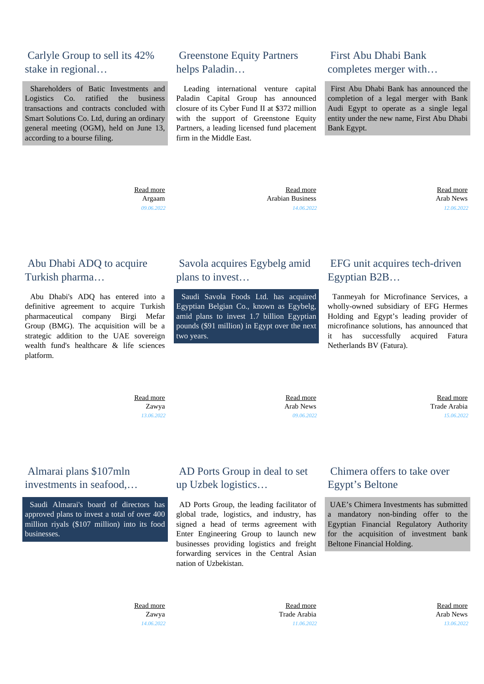#### Carlyle Group to sell its 42% stake in regional…

 Shareholders of Batic Investments and Logistics Co. ratified the business transactions and contracts concluded with Smart Solutions Co. Ltd, during an ordinary general meeting (OGM), held on June 13, according to a bourse filing.

> [Read more](https://gatecapital.net/back_office/newsletters/tracking/6038/673) Argaam *09.06.2022*

#### Greenstone Equity Partners helps Paladin…

 Leading international venture capital Paladin Capital Group has announced closure of its Cyber Fund II at \$372 million with the support of Greenstone Equity Partners, a leading licensed fund placement firm in the Middle East.

# First Abu Dhabi Bank completes merger with…

 First Abu Dhabi Bank has announced the completion of a legal merger with Bank Audi Egypt to operate as a single legal entity under the new name, First Abu Dhabi Bank Egypt.

 [Read more](https://gatecapital.net/back_office/newsletters/tracking/6043/673) Arabian Business *14.06.2022*

 [Read more](https://gatecapital.net/back_office/newsletters/tracking/6036/673) Arab News *12.06.2022*

#### Abu Dhabi ADQ to acquire Turkish pharma…

 Abu Dhabi's ADQ has entered into a definitive agreement to acquire Turkish pharmaceutical company Birgi Mefar Group (BMG). The acquisition will be a strategic addition to the UAE sovereign wealth fund's healthcare & life sciences platform.

#### Savola acquires Egybelg amid plans to invest…

 Saudi Savola Foods Ltd. has acquired Egyptian Belgian Co., known as Egybelg, amid plans to invest 1.7 billion Egyptian pounds (\$91 million) in Egypt over the next two years.

# EFG unit acquires tech-driven Egyptian B2B…

 Tanmeyah for Microfinance Services, a wholly-owned subsidiary of EFG Hermes Holding and Egypt's leading provider of microfinance solutions, has announced that it has successfully acquired Fatura Netherlands BV (Fatura).

 [Read more](https://gatecapital.net/back_office/newsletters/tracking/6029/673) Zawya *13.06.2022*

 [Read more](https://gatecapital.net/back_office/newsletters/tracking/6037/673) Arab News *09.06.2022*

 [Read more](https://gatecapital.net/back_office/newsletters/tracking/6045/673) Trade Arabia *15.06.2022*

#### Almarai plans \$107mln investments in seafood,…

 Saudi Almarai's board of directors has approved plans to invest a total of over 400 million riyals (\$107 million) into its food businesses.

#### AD Ports Group in deal to set up Uzbek logistics…

 AD Ports Group, the leading facilitator of global trade, logistics, and industry, has signed a head of terms agreement with Enter Engineering Group to launch new businesses providing logistics and freight forwarding services in the Central Asian nation of Uzbekistan.

#### Chimera offers to take over Egypt's Beltone

 UAE's Chimera Investments has submitted a mandatory non-binding offer to the Egyptian Financial Regulatory Authority for the acquisition of investment bank Beltone Financial Holding.

 [Read more](https://gatecapital.net/back_office/newsletters/tracking/6040/673) Zawya *14.06.2022*

 [Read more](https://gatecapital.net/back_office/newsletters/tracking/6031/673) Trade Arabia *11.06.2022*

 [Read more](https://gatecapital.net/back_office/newsletters/tracking/6035/673) Arab News *13.06.2022*